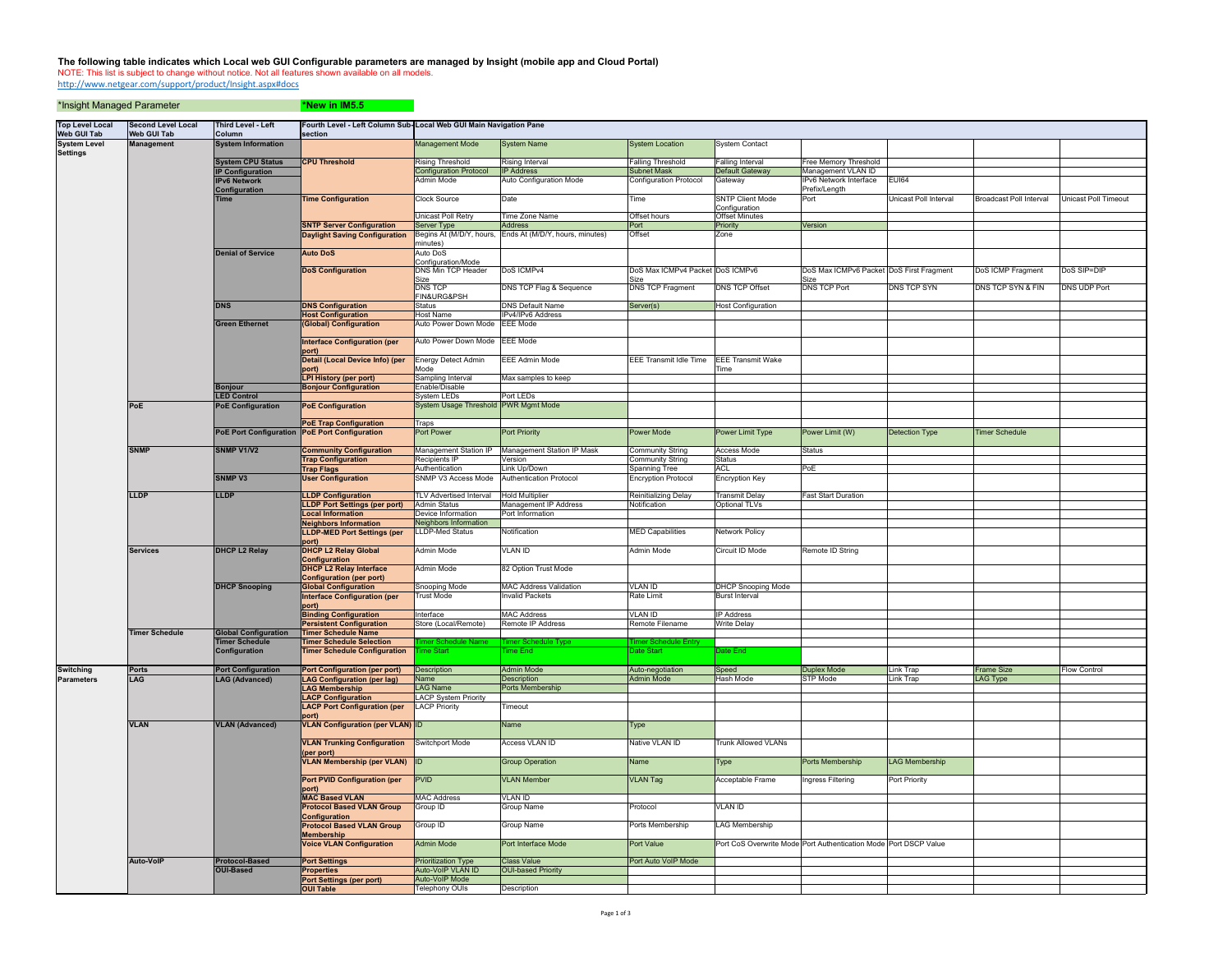## The following table indicates which Local web GUI Configurable parameters are managed by Insight (mobile app and Cloud Portal)<br>NOTE: This list is subject to change without notice. Not all features shown available on all mo

\*Insight Managed Parameter \*New in IM5.5

http://www.netgear.com/support/product/Insight.aspx#docs

| <b>Top Level Local</b><br><b>Web GUI Tab</b> | <b>Second Level Local</b><br><b>Web GUI Tab</b> | <b>Third Level - Left</b><br>Column    | Fourth Level - Left Column Sub-Local Web GUI Main Navigation Pane<br>section |                                           |                                                |                                             |                                   |                                                                  |                              |                                |                      |
|----------------------------------------------|-------------------------------------------------|----------------------------------------|------------------------------------------------------------------------------|-------------------------------------------|------------------------------------------------|---------------------------------------------|-----------------------------------|------------------------------------------------------------------|------------------------------|--------------------------------|----------------------|
| <b>System Level</b><br><b>Settings</b>       | <b>Management</b>                               | <b>System Information</b>              |                                                                              | Management Mode                           | <b>System Name</b>                             | <b>System Location</b>                      | <b>System Contact</b>             |                                                                  |                              |                                |                      |
|                                              |                                                 | <b>System CPU Status</b>               | <b>CPU Threshold</b>                                                         | <b>Rising Threshold</b>                   | Rising Interval                                | <b>Falling Threshold</b>                    | Falling Interval                  | <b>Free Memory Threshold</b>                                     |                              |                                |                      |
|                                              |                                                 | <b>IP Configuration</b>                |                                                                              | <b>Configuration Protocol</b>             | <b>IP Address</b>                              | Subnet Mask                                 | Default Gateway                   | Management VLAN ID                                               |                              |                                |                      |
|                                              |                                                 | <b>IPv6 Network</b><br>Configuration   |                                                                              | Admin Mode                                | Auto Configuration Mode                        | Configuration Protocol                      | Gateway                           | IPv6 Network Interface<br>Prefix/Length                          | <b>EU164</b>                 |                                |                      |
|                                              |                                                 | <b>Time</b>                            | <b>Time Configuration</b>                                                    | <b>Clock Source</b>                       | Date                                           | Time                                        | <b>SNTP Client Mode</b>           | Port                                                             | <b>Jnicast Poll Interval</b> | <b>Broadcast Poll Interval</b> | Unicast Poll Timeout |
|                                              |                                                 |                                        |                                                                              |                                           |                                                |                                             | Configuration                     |                                                                  |                              |                                |                      |
|                                              |                                                 |                                        | <b>SNTP Server Configuration</b>                                             | Unicast Poll Retry<br>Server Type         | Time Zone Name<br><b>Address</b>               | Offset hours<br>Port                        | <b>Offset Minutes</b><br>Priority | Version                                                          |                              |                                |                      |
|                                              |                                                 |                                        | <b>Daylight Saving Configuration</b>                                         | Begins At (M/D/Y, hours,                  | Ends At (M/D/Y, hours, minutes)                | Offset                                      | Zone                              |                                                                  |                              |                                |                      |
|                                              |                                                 |                                        |                                                                              | minutes)                                  |                                                |                                             |                                   |                                                                  |                              |                                |                      |
|                                              |                                                 | <b>Denial of Service</b>               | <b>Auto DoS</b>                                                              | <b>Auto DoS</b><br>Configuration/Mode     |                                                |                                             |                                   |                                                                  |                              |                                |                      |
|                                              |                                                 |                                        | <b>DoS Configuration</b>                                                     | DNS Min TCP Header                        | DoS ICMPv4                                     | DoS Max ICMPv4 Packet DoS ICMPv6            |                                   | DoS Max ICMPv6 Packet DoS First Fragment                         |                              | DoS ICMP Fragment              | DoS SIP=DIP          |
|                                              |                                                 |                                        |                                                                              | Size<br>DNS TCF                           | DNS TCP Flag & Sequence                        | Size<br><b>DNS TCP Fragment</b>             | <b>DNS TCP Offset</b>             | Size<br><b>DNS TCP Port</b>                                      | DNS TCP SYN                  | <b>DNS TCP SYN &amp; FIN</b>   | <b>DNS UDP Port</b>  |
|                                              |                                                 |                                        |                                                                              | FIN&URG&PSH                               |                                                |                                             |                                   |                                                                  |                              |                                |                      |
|                                              |                                                 | <b>DNS</b>                             | <b>DNS Configuration</b>                                                     | Status                                    | <b>DNS Default Name</b>                        | Server(s)                                   | <b>Host Configuration</b>         |                                                                  |                              |                                |                      |
|                                              |                                                 | <b>Green Ethernet</b>                  | <b>Host Configuration</b><br>(Global) Configuration                          | <b>Host Name</b>                          | IPv4/IPv6 Address                              |                                             |                                   |                                                                  |                              |                                |                      |
|                                              |                                                 |                                        |                                                                              | Auto Power Down Mode                      | <b>EEE</b> Mode                                |                                             |                                   |                                                                  |                              |                                |                      |
|                                              |                                                 |                                        | Interface Configuration (per<br>port)                                        | Auto Power Down Mode                      | <b>EEE Mode</b>                                |                                             |                                   |                                                                  |                              |                                |                      |
|                                              |                                                 |                                        | Detail (Local Device Info) (per                                              | Energy Detect Admin                       | EEE Admin Mode                                 | <b>EEE Transmit Idle Time</b>               | <b>EEE Transmit Wake</b>          |                                                                  |                              |                                |                      |
|                                              |                                                 |                                        | port)<br><b>LPI History (per port)</b>                                       | Mode<br>Sampling Interval                 | Max samples to keep                            |                                             | Time                              |                                                                  |                              |                                |                      |
|                                              |                                                 | <b>Bonjour</b>                         | <b>Bonjour Configuration</b>                                                 | Enable/Disable                            |                                                |                                             |                                   |                                                                  |                              |                                |                      |
|                                              |                                                 | <b>LED Control</b>                     |                                                                              | System LEDs                               | Port LEDs                                      |                                             |                                   |                                                                  |                              |                                |                      |
|                                              | PoE                                             | <b>PoE Configuration</b>               | <b>PoE Configuration</b>                                                     | System Usage Threshold PWR Mgmt Mode      |                                                |                                             |                                   |                                                                  |                              |                                |                      |
|                                              |                                                 |                                        | <b>PoE Trap Configuration</b>                                                | Traps                                     |                                                |                                             |                                   |                                                                  |                              |                                |                      |
|                                              |                                                 |                                        | <b>PoE Port Configuration PoE Port Configuration</b>                         | Port Power                                | <b>Port Priority</b>                           | Power Mode                                  | Power Limit Type                  | Power Limit (W)                                                  | Detection Type               | <b>Timer Schedule</b>          |                      |
|                                              | <b>SNMP</b>                                     | SNMP V1/V2                             | <b>Community Configuration</b>                                               | Management Station IP                     | Management Station IP Mask                     | Community String                            | Access Mode                       | <b>Status</b>                                                    |                              |                                |                      |
|                                              |                                                 |                                        | <b>Trap Configuration</b>                                                    | Recipients IP                             | /ersion                                        | Community String                            | Status                            |                                                                  |                              |                                |                      |
|                                              |                                                 | <b>SNMP V3</b>                         | <b>Trap Flags</b><br><b>User Configuration</b>                               | Authentication<br>SNMP V3 Access Mode     | Link Up/Down<br><b>Authentication Protocol</b> | Spanning Tree<br><b>Encryption Protocol</b> | ACL<br>Encryption Key             | PoE                                                              |                              |                                |                      |
|                                              |                                                 |                                        |                                                                              |                                           |                                                |                                             |                                   |                                                                  |                              |                                |                      |
|                                              | <b>LLDP</b>                                     | <b>LLDP</b>                            | <b>LLDP Configuration</b>                                                    | <b>TLV Advertised Interval</b>            | <b>Hold Multiplier</b>                         | Reinitializing Delay                        | <b>Transmit Delay</b>             | <b>Fast Start Duration</b>                                       |                              |                                |                      |
|                                              |                                                 |                                        | <b>LLDP Port Settings (per port)</b><br><b>Local Information</b>             | <b>Admin Status</b><br>Device Information | Management IP Address<br>Port Information      | Notification                                | <b>Optional TLVs</b>              |                                                                  |                              |                                |                      |
|                                              |                                                 |                                        | <b>Neighbors Information</b>                                                 | <b>Neighbors Information</b>              |                                                |                                             |                                   |                                                                  |                              |                                |                      |
|                                              |                                                 |                                        | <b>LLDP-MED Port Settings (per</b>                                           | LLDP-Med Status                           | Notification                                   | <b>MED Capabilities</b>                     | <b>Jetwork Policy</b>             |                                                                  |                              |                                |                      |
|                                              | <b>Services</b>                                 | <b>DHCP L2 Relay</b>                   | port)<br><b>DHCP L2 Relay Global</b>                                         | Admin Mode                                | <b>VLAN ID</b>                                 | Admin Mode                                  | Circuit ID Mode                   | Remote ID String                                                 |                              |                                |                      |
|                                              |                                                 |                                        | <b>Configuration</b>                                                         |                                           |                                                |                                             |                                   |                                                                  |                              |                                |                      |
|                                              |                                                 |                                        | <b>DHCP L2 Relay Interface</b><br><b>Configuration (per port)</b>            | Admin Mode                                | 82 Option Trust Mode                           |                                             |                                   |                                                                  |                              |                                |                      |
|                                              |                                                 | <b>DHCP Snooping</b>                   | <b>Global Configuration</b>                                                  | Snooping Mode                             | <b>MAC Address Validation</b>                  | <b>VLAN ID</b>                              | <b>DHCP Snooping Mode</b>         |                                                                  |                              |                                |                      |
|                                              |                                                 |                                        | <b>Interface Configuration (per</b>                                          | Trust Mode                                | <b>Invalid Packets</b>                         | Rate Limit                                  | Burst Interval                    |                                                                  |                              |                                |                      |
|                                              |                                                 |                                        | port)<br><b>Binding Configuration</b>                                        | Interface                                 | <b>MAC Address</b>                             | <b>VLAN ID</b>                              | <b>IP Address</b>                 |                                                                  |                              |                                |                      |
|                                              |                                                 |                                        | <b>Persistent Configuration</b>                                              | Store (Local/Remote)                      | Remote IP Address                              | Remote Filename                             | Write Delay                       |                                                                  |                              |                                |                      |
|                                              | <b>Timer Schedule</b>                           | <b>Global Configuration</b>            | <b>Timer Schedule Name</b>                                                   |                                           |                                                |                                             |                                   |                                                                  |                              |                                |                      |
|                                              |                                                 | <b>Timer Schedule</b><br>Configuration | <b>Timer Schedule Selection</b><br><b>Timer Schedule Configuration</b>       | me Start                                  | me End                                         | mer Sche<br>Date Start                      | Date End                          |                                                                  |                              |                                |                      |
|                                              |                                                 |                                        |                                                                              |                                           |                                                |                                             |                                   |                                                                  |                              |                                |                      |
| <b>Switching</b>                             | Ports<br>LAG                                    | <b>Port Configuration</b>              | <b>Port Configuration (per port)</b>                                         | Description<br>Name                       | <b>Admin Mode</b>                              | Auto-negotiation<br><b>Admin Mode</b>       | Speed<br>Hash Mode                | Duplex Mode<br><b>STP Mode</b>                                   | Link Trap                    | Frame Size                     | <b>Flow Control</b>  |
| <b>Parameters</b>                            |                                                 | <b>LAG (Advanced)</b>                  | <b>LAG Configuration (per lag)</b><br><b>LAG Membership</b>                  | <b>LAG Name</b>                           | <b>Description</b><br>Ports Membership         |                                             |                                   |                                                                  | Link Trap                    | <b>LAG Type</b>                |                      |
|                                              |                                                 |                                        | <b>LACP Configuration</b>                                                    | <b>LACP System Priority</b>               |                                                |                                             |                                   |                                                                  |                              |                                |                      |
|                                              |                                                 |                                        | <b>LACP Port Configuration (per</b>                                          | <b>LACP Priority</b>                      | Timeout                                        |                                             |                                   |                                                                  |                              |                                |                      |
|                                              | <b>VLAN</b>                                     | <b>VLAN (Advanced)</b>                 | port)<br><b>VLAN Configuration (per VLAN) ID</b>                             |                                           | Name                                           | Type                                        |                                   |                                                                  |                              |                                |                      |
|                                              |                                                 |                                        | <b>VLAN Trunking Configuration</b>                                           | Switchport Mode                           | <b>Access VLAN ID</b>                          | Native VLAN ID                              | <b>Trunk Allowed VLANs</b>        |                                                                  |                              |                                |                      |
|                                              |                                                 |                                        | (per port)                                                                   | <b>IID</b>                                |                                                |                                             |                                   | Ports Membership                                                 | <b>LAG Membership</b>        |                                |                      |
|                                              |                                                 |                                        | <b>VLAN Membership (per VLAN)</b>                                            |                                           | <b>Group Operation</b>                         | Name                                        | Type                              |                                                                  |                              |                                |                      |
|                                              |                                                 |                                        | <b>Port PVID Configuration (per</b><br>(port)                                | <b>PVID</b>                               | <b>VLAN Member</b>                             | <b>VLAN Tag</b>                             | Acceptable Frame                  | Ingress Filtering                                                | Port Priority                |                                |                      |
|                                              |                                                 |                                        | <b>MAC Based VLAN</b>                                                        | <b>MAC Address</b>                        | <b>VLAN ID</b>                                 |                                             |                                   |                                                                  |                              |                                |                      |
|                                              |                                                 |                                        | <b>Protocol Based VLAN Group</b><br><b>Configuration</b>                     | Group ID                                  | Group Name                                     | Protocol                                    | <b>VLAN ID</b>                    |                                                                  |                              |                                |                      |
|                                              |                                                 |                                        | <b>Protocol Based VLAN Group</b>                                             | Group ID                                  | Group Name                                     | Ports Membership                            | <b>LAG Membership</b>             |                                                                  |                              |                                |                      |
|                                              |                                                 |                                        | <b>Membership</b>                                                            |                                           |                                                |                                             |                                   |                                                                  |                              |                                |                      |
|                                              |                                                 |                                        | <b>Voice VLAN Configuration</b>                                              | <b>Admin Mode</b>                         | Port Interface Mode                            | Port Value                                  |                                   | Port CoS Overwrite Mode Port Authentication Mode Port DSCP Value |                              |                                |                      |
|                                              | Auto-VolP                                       | <b>Protocol-Based</b>                  | <b>Port Settings</b>                                                         | <b>Prioritization Type</b>                | <b>Class Value</b>                             | Port Auto VolP Mode                         |                                   |                                                                  |                              |                                |                      |
|                                              |                                                 | <b>OUI-Based</b>                       | <b>Properties</b><br><b>Port Settings (per port)</b>                         | Auto-VoIP VLAN ID<br>Auto-VoIP Mode       | <b>OUI-based Priority</b>                      |                                             |                                   |                                                                  |                              |                                |                      |
|                                              |                                                 |                                        | <b>OUI Table</b>                                                             | Telephony OUIs                            | Description                                    |                                             |                                   |                                                                  |                              |                                |                      |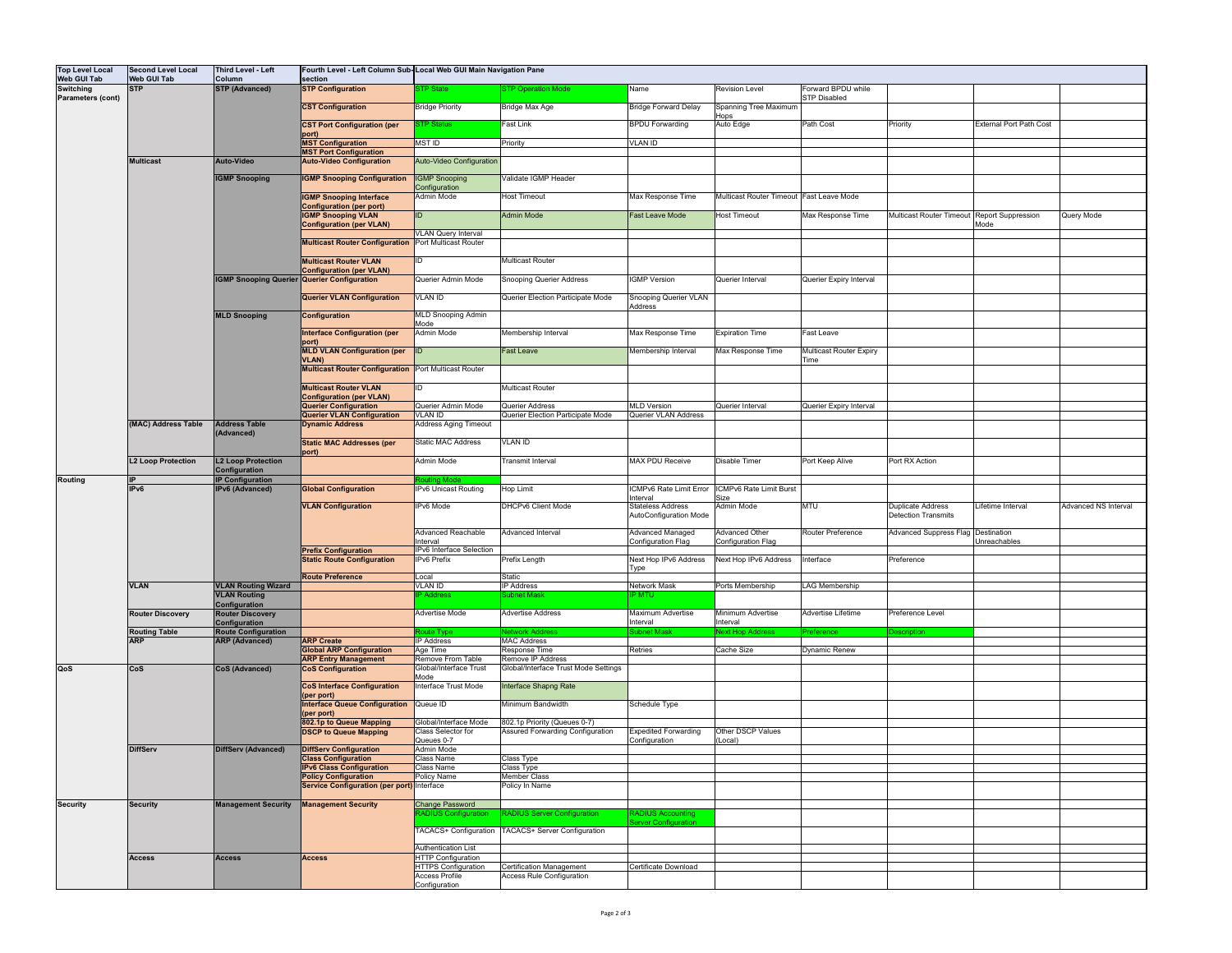| <b>Top Level Local</b>                | <b>Second Level Local</b>          | Third Level - Left                                  |                                                                      | Fourth Level - Left Column Sub-Local Web GUI Main Navigation Pane |                                                              |                                             |                                          |                                           |                                                        |                                |                             |
|---------------------------------------|------------------------------------|-----------------------------------------------------|----------------------------------------------------------------------|-------------------------------------------------------------------|--------------------------------------------------------------|---------------------------------------------|------------------------------------------|-------------------------------------------|--------------------------------------------------------|--------------------------------|-----------------------------|
| <b>Web GUI Tab</b>                    | <b>Web GUI Tab</b>                 | Column                                              | section                                                              |                                                                   |                                                              |                                             |                                          |                                           |                                                        |                                |                             |
| Switching<br><b>Parameters (cont)</b> | <b>STP</b>                         | <b>STP (Advanced)</b>                               | <b>STP Configuration</b>                                             | <b>TP State</b>                                                   | <b>STP Operation Mode</b>                                    | Name                                        | <b>Revision Level</b>                    | Forward BPDU while<br><b>STP Disabled</b> |                                                        |                                |                             |
|                                       |                                    |                                                     | <b>CST Configuration</b>                                             | <b>Bridge Priority</b>                                            | Bridge Max Age                                               | <b>Bridge Forward Delay</b>                 | Spanning Tree Maximum                    |                                           |                                                        |                                |                             |
|                                       |                                    |                                                     |                                                                      |                                                                   |                                                              |                                             | Hops                                     |                                           |                                                        |                                |                             |
|                                       |                                    |                                                     | <b>CST Port Configuration (per</b>                                   | <b>STP Status</b>                                                 | Fast Link                                                    | <b>BPDU Forwarding</b>                      | Auto Edge                                | Path Cost                                 | Priority                                               | <b>External Port Path Cost</b> |                             |
|                                       |                                    |                                                     | port)                                                                |                                                                   |                                                              |                                             |                                          |                                           |                                                        |                                |                             |
|                                       |                                    |                                                     | <b>MST Configuration</b><br><b>MST Port Configuration</b>            | <b>MSTID</b>                                                      | Priority                                                     | VLAN ID                                     |                                          |                                           |                                                        |                                |                             |
|                                       | <b>Multicast</b>                   | Auto-Video                                          | <b>Auto-Video Configuration</b>                                      | Auto-Video Configuration                                          |                                                              |                                             |                                          |                                           |                                                        |                                |                             |
|                                       |                                    |                                                     |                                                                      |                                                                   |                                                              |                                             |                                          |                                           |                                                        |                                |                             |
|                                       |                                    | <b>IGMP Snooping</b>                                | <b>IGMP Snooping Configuration</b>                                   | <b>IGMP Snooping</b>                                              | Validate IGMP Header                                         |                                             |                                          |                                           |                                                        |                                |                             |
|                                       |                                    |                                                     | <b>IGMP Snooping Interface</b>                                       | Configuration<br>Admin Mode                                       | <b>Host Timeout</b>                                          | Max Response Time                           | Multicast Router Timeout Fast Leave Mode |                                           |                                                        |                                |                             |
|                                       |                                    |                                                     | <b>Configuration (per port)</b>                                      |                                                                   |                                                              |                                             |                                          |                                           |                                                        |                                |                             |
|                                       |                                    |                                                     | <b>IGMP Snooping VLAN</b>                                            | ID                                                                | <b>Admin Mode</b>                                            | ast Leave Mode                              | <b>Host Timeout</b>                      | Max Response Time                         | Multicast Router Timeout Report Suppression            |                                | Query Mode                  |
|                                       |                                    |                                                     | <b>Configuration (per VLAN)</b>                                      |                                                                   |                                                              |                                             |                                          |                                           |                                                        | Mode                           |                             |
|                                       |                                    |                                                     | <b>Multicast Router Configuration</b>                                | <b>VLAN Query Interval</b><br>Port Multicast Router               |                                                              |                                             |                                          |                                           |                                                        |                                |                             |
|                                       |                                    |                                                     |                                                                      |                                                                   |                                                              |                                             |                                          |                                           |                                                        |                                |                             |
|                                       |                                    |                                                     | <b>Multicast Router VLAN</b>                                         | ID                                                                | Multicast Router                                             |                                             |                                          |                                           |                                                        |                                |                             |
|                                       |                                    |                                                     | <b>Configuration (per VLAN)</b>                                      |                                                                   |                                                              |                                             |                                          |                                           |                                                        |                                |                             |
|                                       |                                    | <b>IGMP Snooping Querier Querier Configuration</b>  |                                                                      | Querier Admin Mode                                                | Snooping Querier Address                                     | <b>IGMP</b> Version                         | Querier Interval                         | Querier Expiry Interval                   |                                                        |                                |                             |
|                                       |                                    |                                                     | <b>Querier VLAN Configuration</b>                                    | <b>VLAN ID</b>                                                    | Querier Election Participate Mode                            | Snooping Querier VLAN                       |                                          |                                           |                                                        |                                |                             |
|                                       |                                    |                                                     |                                                                      |                                                                   |                                                              | Address                                     |                                          |                                           |                                                        |                                |                             |
|                                       |                                    | <b>MLD Snooping</b>                                 | Configuration                                                        | MLD Snooping Admin<br>Mode                                        |                                                              |                                             |                                          |                                           |                                                        |                                |                             |
|                                       |                                    |                                                     | <b>Interface Configuration (per</b>                                  | Admin Mode                                                        | Membership Interval                                          | Max Response Time                           | <b>Expiration Time</b>                   | Fast Leave                                |                                                        |                                |                             |
|                                       |                                    |                                                     | port)                                                                |                                                                   |                                                              |                                             |                                          |                                           |                                                        |                                |                             |
|                                       |                                    |                                                     | <b>MLD VLAN Configuration (per</b>                                   | ID                                                                | Fast Leave                                                   | Membership Interval                         | Max Response Time                        | <b>Multicast Router Expiry</b>            |                                                        |                                |                             |
|                                       |                                    |                                                     | VLAN)<br><b>Multicast Router Configuration Port Multicast Router</b> |                                                                   |                                                              |                                             |                                          | Time                                      |                                                        |                                |                             |
|                                       |                                    |                                                     |                                                                      |                                                                   |                                                              |                                             |                                          |                                           |                                                        |                                |                             |
|                                       |                                    |                                                     | <b>Multicast Router VLAN</b>                                         | ID                                                                | Multicast Router                                             |                                             |                                          |                                           |                                                        |                                |                             |
|                                       |                                    |                                                     | <b>Configuration (per VLAN)</b>                                      |                                                                   |                                                              |                                             |                                          |                                           |                                                        |                                |                             |
|                                       |                                    |                                                     | Querier Configuration<br><b>Querier VLAN Configuration</b>           | Querier Admin Mode<br>VLAN ID                                     | Querier Address<br>Querier Election Participate Mode         | <b>MLD Version</b><br>Querier VLAN Address  | Querier Interval                         | Querier Expiry Interval                   |                                                        |                                |                             |
|                                       | (MAC) Address Table                | <b>Address Table</b><br>(Advanced)                  | <b>Dynamic Address</b>                                               | <b>Address Aging Timeout</b>                                      |                                                              |                                             |                                          |                                           |                                                        |                                |                             |
|                                       |                                    |                                                     |                                                                      |                                                                   |                                                              |                                             |                                          |                                           |                                                        |                                |                             |
|                                       |                                    |                                                     | <b>Static MAC Addresses (per</b>                                     | <b>Static MAC Address</b>                                         | <b>VLAN ID</b>                                               |                                             |                                          |                                           |                                                        |                                |                             |
|                                       | <b>L2 Loop Protection</b>          | <b>L2 Loop Protection</b>                           | port)                                                                | Admin Mode                                                        | Transmit Interval                                            | <b>MAX PDU Receive</b>                      | Disable Timer                            | Port Keep Alive                           | Port RX Action                                         |                                |                             |
|                                       |                                    | Configuration                                       |                                                                      |                                                                   |                                                              |                                             |                                          |                                           |                                                        |                                |                             |
|                                       |                                    |                                                     |                                                                      |                                                                   |                                                              |                                             |                                          |                                           |                                                        |                                |                             |
| Routing                               |                                    | <b>IP Configuration</b>                             |                                                                      |                                                                   |                                                              |                                             |                                          |                                           |                                                        |                                |                             |
|                                       | IPv6                               | IPv6 (Advanced)                                     | <b>Global Configuration</b>                                          | IPv6 Unicast Routing                                              | Hop Limit                                                    | <b>ICMPv6 Rate Limit Error</b>              | ICMPv6 Rate Limit Burst                  |                                           |                                                        |                                |                             |
|                                       |                                    |                                                     |                                                                      |                                                                   |                                                              | Interval                                    | Size                                     |                                           |                                                        |                                |                             |
|                                       |                                    |                                                     | <b>VLAN Configuration</b>                                            | IPv6 Mode                                                         | <b>DHCPv6 Client Mode</b>                                    | Stateless Address<br>AutoConfiguration Mode | Admin Mode                               | <b>MTU</b>                                | <b>Duplicate Address</b><br><b>Detection Transmits</b> | Lifetime Interval              | <b>Advanced NS Interval</b> |
|                                       |                                    |                                                     |                                                                      |                                                                   |                                                              |                                             |                                          |                                           |                                                        |                                |                             |
|                                       |                                    |                                                     |                                                                      | <b>Advanced Reachable</b>                                         | Advanced Interval                                            | Advanced Managed                            | Advanced Other                           | Router Preference                         | Advanced Suppress Flag Destination                     |                                |                             |
|                                       |                                    |                                                     | <b>Prefix Configuration</b>                                          | Interval<br>IPv6 Interface Selection                              |                                                              | Configuration Flag                          | Configuration Flag                       |                                           |                                                        | Unreachables                   |                             |
|                                       |                                    |                                                     | <b>Static Route Configuration</b>                                    | IPv6 Prefix                                                       | Prefix Length                                                | Next Hop IPv6 Address                       | Next Hop IPv6 Address                    | Interface                                 | Preference                                             |                                |                             |
|                                       |                                    |                                                     |                                                                      |                                                                   |                                                              | Type                                        |                                          |                                           |                                                        |                                |                             |
|                                       | <b>VLAN</b>                        |                                                     | <b>Route Preference</b>                                              | Local                                                             | Static                                                       |                                             |                                          |                                           |                                                        |                                |                             |
|                                       |                                    | <b>VLAN Routing Wizard</b><br><b>VLAN Routing</b>   |                                                                      | <b>VLAN ID</b><br><sup>2</sup> Address                            | <b>IP Address</b><br><b>Jubnet Mask</b>                      | Network Mask<br>P MTU                       | Ports Membership                         | LAG Membership                            |                                                        |                                |                             |
|                                       |                                    | Configuration                                       |                                                                      |                                                                   |                                                              |                                             |                                          |                                           |                                                        |                                |                             |
|                                       | <b>Router Discovery</b>            | <b>Router Discovery</b>                             |                                                                      | Advertise Mode                                                    | <b>Advertise Address</b>                                     | Maximum Advertise                           | Minimum Advertise                        | Advertise Lifetime                        | Preference Level                                       |                                |                             |
|                                       |                                    | Configuration                                       |                                                                      |                                                                   | etwork Addre                                                 | Interval<br>ubnet.                          | Interval<br>ext Hop A                    |                                           | Jescriptic                                             |                                |                             |
|                                       | <b>Routing Table</b><br><b>ARP</b> | <b>Route Configuration</b><br><b>ARP (Advanced)</b> | <b>ARP Create</b>                                                    | oute Typ<br><b>IP Address</b>                                     | <b>MAC Address</b>                                           |                                             |                                          |                                           |                                                        |                                |                             |
|                                       |                                    |                                                     | <b>Global ARP Configuration</b>                                      | Age Time                                                          | Response Time                                                | Retries                                     | Cache Size                               | Dynamic Renew                             |                                                        |                                |                             |
|                                       |                                    |                                                     | <b>ARP Entry Management</b>                                          | Remove From Table                                                 | Remove IP Address                                            |                                             |                                          |                                           |                                                        |                                |                             |
| QoS                                   | CoS                                | <b>CoS (Advanced)</b>                               | <b>CoS Configuration</b>                                             | Global/Interface Trust<br>Mode                                    | Global/Interface Trust Mode Settings                         |                                             |                                          |                                           |                                                        |                                |                             |
|                                       |                                    |                                                     | <b>CoS Interface Configuration</b>                                   | Interface Trust Mode                                              | Interface Shapng Rate                                        |                                             |                                          |                                           |                                                        |                                |                             |
|                                       |                                    |                                                     | (per port)                                                           |                                                                   |                                                              |                                             |                                          |                                           |                                                        |                                |                             |
|                                       |                                    |                                                     | <b>Interface Queue Configuration</b>                                 | Queue ID                                                          | Minimum Bandwidth                                            | Schedule Type                               |                                          |                                           |                                                        |                                |                             |
|                                       |                                    |                                                     | (per port)<br>802.1p to Queue Mapping                                | Global/Interface Mode                                             | 802.1p Priority (Queues 0-7)                                 |                                             |                                          |                                           |                                                        |                                |                             |
|                                       |                                    |                                                     | <b>DSCP to Queue Mapping</b>                                         | Class Selector for                                                | Assured Forwarding Configuration                             | <b>Expedited Forwarding</b>                 | Other DSCP Values                        |                                           |                                                        |                                |                             |
|                                       |                                    |                                                     |                                                                      | Queues 0-7                                                        |                                                              | Configuration                               | Local)                                   |                                           |                                                        |                                |                             |
|                                       | <b>DiffServ</b>                    | <b>DiffServ (Advanced)</b>                          | <b>DiffServ Configuration</b><br><b>Class Configuration</b>          | Admin Mode<br>Class Name                                          | Class Type                                                   |                                             |                                          |                                           |                                                        |                                |                             |
|                                       |                                    |                                                     | IPv6 Class Configuration                                             | Class Name                                                        | Class Type                                                   |                                             |                                          |                                           |                                                        |                                |                             |
|                                       |                                    |                                                     | <b>Policy Configuration</b>                                          | Policy Name                                                       | Member Class                                                 |                                             |                                          |                                           |                                                        |                                |                             |
|                                       |                                    |                                                     | Service Configuration (per port) Interface                           |                                                                   | Policy In Name                                               |                                             |                                          |                                           |                                                        |                                |                             |
| <b>Security</b>                       | <b>Security</b>                    | <b>Management Security</b>                          | <b>Management Security</b>                                           | Change Password                                                   |                                                              |                                             |                                          |                                           |                                                        |                                |                             |
|                                       |                                    |                                                     |                                                                      |                                                                   | RADIUS Server Configuration                                  | RADIUS Accounting                           |                                          |                                           |                                                        |                                |                             |
|                                       |                                    |                                                     |                                                                      |                                                                   |                                                              | <b>Server Configuration</b>                 |                                          |                                           |                                                        |                                |                             |
|                                       |                                    |                                                     |                                                                      |                                                                   | TACACS+ Configuration   TACACS+ Server Configuration         |                                             |                                          |                                           |                                                        |                                |                             |
|                                       |                                    |                                                     |                                                                      | Authentication List                                               |                                                              |                                             |                                          |                                           |                                                        |                                |                             |
|                                       | <b>Access</b>                      | <b>Access</b>                                       | <b>Access</b>                                                        | <b>HTTP Configuration</b>                                         |                                                              |                                             |                                          |                                           |                                                        |                                |                             |
|                                       |                                    |                                                     |                                                                      | <b>HTTPS Configuration</b><br><b>Access Profile</b>               | Certification Management<br><b>Access Rule Configuration</b> | Certificate Download                        |                                          |                                           |                                                        |                                |                             |